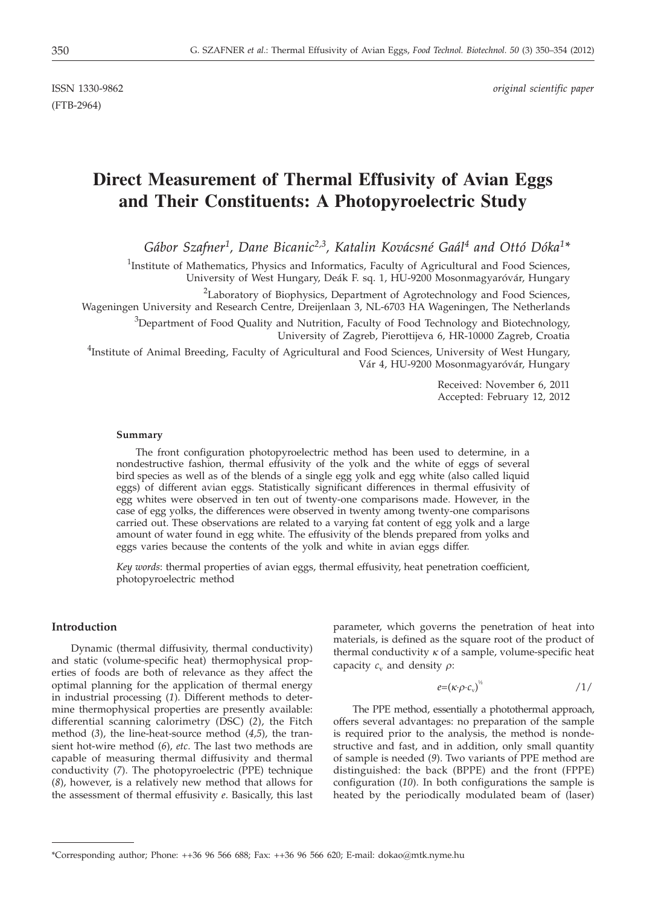(FTB-2964)

ISSN 1330-9862 *original scientific paper*

# **Direct Measurement of Thermal Effusivity of Avian Eggs and Their Constituents: A Photopyroelectric Study**

*Gábor Szafner1, Dane Bicanic2,3, Katalin Kovácsné Gaál4 and Ottó Dóka1\**

<sup>1</sup>Institute of Mathematics, Physics and Informatics, Faculty of Agricultural and Food Sciences, University of West Hungary, Deák F. sq. 1, HU-9200 Mosonmagyaróvár, Hungary

<sup>2</sup>Laboratory of Biophysics, Department of Agrotechnology and Food Sciences,

Wageningen University and Research Centre, Dreijenlaan 3, NL-6703 HA Wageningen, The Netherlands

<sup>3</sup>Department of Food Quality and Nutrition, Faculty of Food Technology and Biotechnology, University of Zagreb, Pierottijeva 6, HR-10000 Zagreb, Croatia

<sup>4</sup>Institute of Animal Breeding, Faculty of Agricultural and Food Sciences, University of West Hungary, Vár 4, HU-9200 Mosonmagyaróvár, Hungary

> Received: November 6, 2011 Accepted: February 12, 2012

#### **Summary**

The front configuration photopyroelectric method has been used to determine, in a nondestructive fashion, thermal effusivity of the yolk and the white of eggs of several bird species as well as of the blends of a single egg yolk and egg white (also called liquid eggs) of different avian eggs. Statistically significant differences in thermal effusivity of egg whites were observed in ten out of twenty-one comparisons made. However, in the case of egg yolks, the differences were observed in twenty among twenty-one comparisons carried out. These observations are related to a varying fat content of egg yolk and a large amount of water found in egg white. The effusivity of the blends prepared from yolks and eggs varies because the contents of the yolk and white in avian eggs differ.

*Key words*: thermal properties of avian eggs, thermal effusivity, heat penetration coefficient, photopyroelectric method

# **Introduction**

Dynamic (thermal diffusivity, thermal conductivity) and static (volume-specific heat) thermophysical properties of foods are both of relevance as they affect the optimal planning for the application of thermal energy in industrial processing (*1*). Different methods to determine thermophysical properties are presently available: differential scanning calorimetry (DSC) (*2*), the Fitch method (*3*), the line-heat-source method (*4,5*), the transient hot-wire method (*6*), *etc*. The last two methods are capable of measuring thermal diffusivity and thermal conductivity (*7*). The photopyroelectric (PPE) technique (*8*), however, is a relatively new method that allows for the assessment of thermal effusivity *e*. Basically, this last

parameter, which governs the penetration of heat into materials, is defined as the square root of the product of thermal conductivity  $\kappa$  of a sample, volume-specific heat capacity  $c_v$  and density  $\rho$ :

$$
e=(\kappa \cdot \rho \cdot c_{\rm v})^{\frac{1}{2}} \tag{1/2}
$$

The PPE method, essentially a photothermal approach, offers several advantages: no preparation of the sample is required prior to the analysis, the method is nondestructive and fast, and in addition, only small quantity of sample is needed (*9*). Two variants of PPE method are distinguished: the back (BPPE) and the front (FPPE) configuration (*10*). In both configurations the sample is heated by the periodically modulated beam of (laser)

<sup>\*</sup>Corresponding author; Phone: ++36 96 566 688; Fax: ++36 96 566 620; E-mail: dokao@mtk.nyme.hu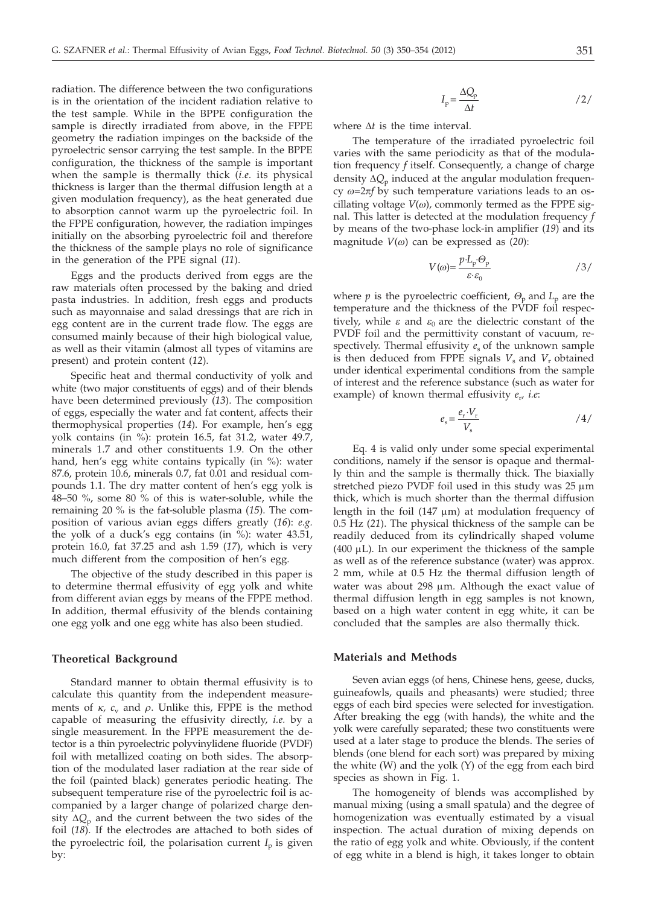radiation. The difference between the two configurations is in the orientation of the incident radiation relative to the test sample. While in the BPPE configuration the sample is directly irradiated from above, in the FPPE geometry the radiation impinges on the backside of the pyroelectric sensor carrying the test sample. In the BPPE configuration, the thickness of the sample is important when the sample is thermally thick (*i.e.* its physical thickness is larger than the thermal diffusion length at a given modulation frequency), as the heat generated due to absorption cannot warm up the pyroelectric foil. In the FPPE configuration, however, the radiation impinges initially on the absorbing pyroelectric foil and therefore the thickness of the sample plays no role of significance in the generation of the PPE signal (*11*).

Eggs and the products derived from eggs are the raw materials often processed by the baking and dried pasta industries. In addition, fresh eggs and products such as mayonnaise and salad dressings that are rich in egg content are in the current trade flow. The eggs are consumed mainly because of their high biological value, as well as their vitamin (almost all types of vitamins are present) and protein content (*12*).

Specific heat and thermal conductivity of yolk and white (two major constituents of eggs) and of their blends have been determined previously (*13*). The composition of eggs, especially the water and fat content, affects their thermophysical properties (*14*). For example, hen's egg yolk contains (in %): protein 16.5, fat 31.2, water 49.7, minerals 1.7 and other constituents 1.9. On the other hand, hen's egg white contains typically (in %): water 87.6, protein 10.6, minerals 0.7, fat 0.01 and residual compounds 1.1. The dry matter content of hen's egg yolk is 48–50 %, some 80 % of this is water-soluble, while the remaining 20 % is the fat-soluble plasma (*15*). The composition of various avian eggs differs greatly (*16*): *e.g.* the yolk of a duck's egg contains (in  $\%$ ): water 43.51, protein 16.0, fat 37.25 and ash 1.59 (*17*), which is very much different from the composition of hen's egg.

The objective of the study described in this paper is to determine thermal effusivity of egg yolk and white from different avian eggs by means of the FPPE method. In addition, thermal effusivity of the blends containing one egg yolk and one egg white has also been studied.

#### **Theoretical Background**

Standard manner to obtain thermal effusivity is to calculate this quantity from the independent measurements of  $\kappa$ ,  $c_v$  and  $\rho$ . Unlike this, FPPE is the method capable of measuring the effusivity directly, *i.e.* by a single measurement. In the FPPE measurement the detector is a thin pyroelectric polyvinylidene fluoride (PVDF) foil with metallized coating on both sides. The absorption of the modulated laser radiation at the rear side of the foil (painted black) generates periodic heating. The subsequent temperature rise of the pyroelectric foil is accompanied by a larger change of polarized charge density  $\Delta Q_p$  and the current between the two sides of the foil (*18*). If the electrodes are attached to both sides of the pyroelectric foil, the polarisation current  $I_p$  is given by:

$$
I_{\rm p} = \frac{\Delta Q_{\rm p}}{\Delta t} \tag{2}
$$

where  $\Delta t$  is the time interval.

The temperature of the irradiated pyroelectric foil varies with the same periodicity as that of the modulation frequency *f* itself. Consequently, a change of charge density  $\Delta Q_p$  induced at the angular modulation frequency  $\omega$ =2 $\pi f$  by such temperature variations leads to an oscillating voltage  $V(\omega)$ , commonly termed as the FPPE signal. This latter is detected at the modulation frequency *f* by means of the two-phase lock-in amplifier (*19*) and its magnitude *V*(*w*) can be expressed as (*20*):

$$
V(\omega) = \frac{p \cdot L_{\rm p} \cdot \Theta_{\rm p}}{\varepsilon \cdot \varepsilon_0} \tag{3}
$$

where *p* is the pyroelectric coefficient,  $\Theta_p$  and  $L_p$  are the temperature and the thickness of the PVDF foil respectively, while  $\varepsilon$  and  $\varepsilon_0$  are the dielectric constant of the PVDF foil and the permittivity constant of vacuum, respectively. Thermal effusivity  $e_s$  of the unknown sample is then deduced from FPPE signals  $V_s$  and  $V_r$  obtained under identical experimental conditions from the sample of interest and the reference substance (such as water for example) of known thermal effusivity *e*r*, i.e*:

$$
e_{\rm s} = \frac{e_{\rm r} \cdot V_{\rm r}}{V_{\rm s}} \tag{4/}
$$

Eq. 4 is valid only under some special experimental conditions, namely if the sensor is opaque and thermally thin and the sample is thermally thick. The biaxially stretched piezo PVDF foil used in this study was 25 µm thick, which is much shorter than the thermal diffusion length in the foil  $(147 \mu m)$  at modulation frequency of 0.5 Hz (*21*). The physical thickness of the sample can be readily deduced from its cylindrically shaped volume  $(400 \mu L)$ . In our experiment the thickness of the sample as well as of the reference substance (water) was approx. 2 mm, while at 0.5 Hz the thermal diffusion length of water was about 298 µm. Although the exact value of thermal diffusion length in egg samples is not known, based on a high water content in egg white, it can be concluded that the samples are also thermally thick.

## **Materials and Methods**

Seven avian eggs (of hens, Chinese hens, geese, ducks, guineafowls, quails and pheasants) were studied; three eggs of each bird species were selected for investigation. After breaking the egg (with hands), the white and the yolk were carefully separated; these two constituents were used at a later stage to produce the blends. The series of blends (one blend for each sort) was prepared by mixing the white (W) and the yolk (Y) of the egg from each bird species as shown in Fig. 1.

The homogeneity of blends was accomplished by manual mixing (using a small spatula) and the degree of homogenization was eventually estimated by a visual inspection. The actual duration of mixing depends on the ratio of egg yolk and white. Obviously, if the content of egg white in a blend is high, it takes longer to obtain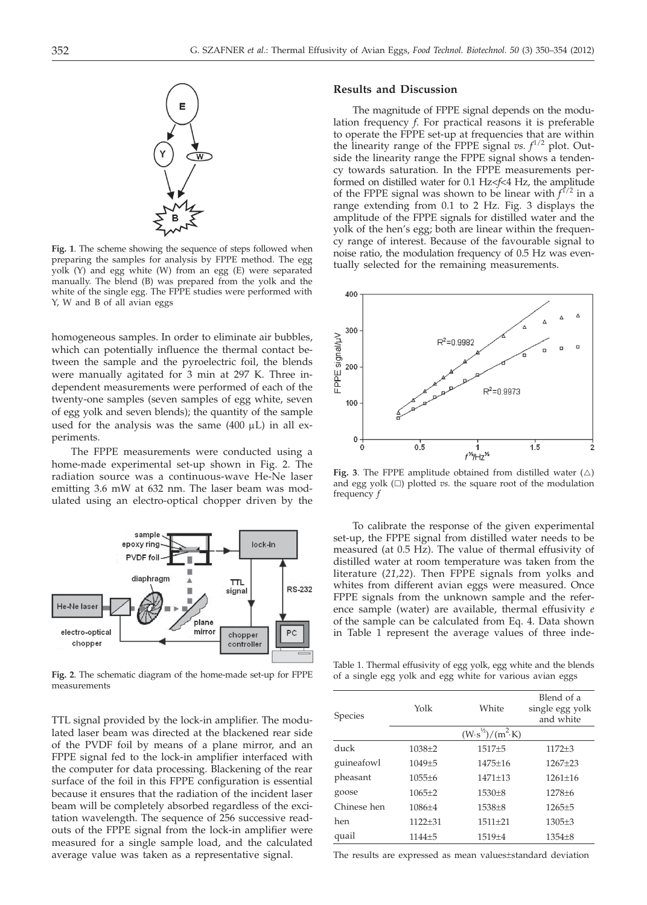

**Fig. 1**. The scheme showing the sequence of steps followed when preparing the samples for analysis by FPPE method. The egg yolk (Y) and egg white (W) from an egg (E) were separated manually. The blend (B) was prepared from the yolk and the white of the single egg. The FPPE studies were performed with Y, W and B of all avian eggs

homogeneous samples. In order to eliminate air bubbles, which can potentially influence the thermal contact between the sample and the pyroelectric foil, the blends were manually agitated for 3 min at 297 K. Three independent measurements were performed of each of the twenty-one samples (seven samples of egg white, seven of egg yolk and seven blends); the quantity of the sample used for the analysis was the same  $(400 \mu L)$  in all experiments.

The FPPE measurements were conducted using a home-made experimental set-up shown in Fig. 2. The radiation source was a continuous-wave He-Ne laser emitting 3.6 mW at 632 nm. The laser beam was modulated using an electro-optical chopper driven by the



**Fig. 2**. The schematic diagram of the home-made set-up for FPPE measurements

TTL signal provided by the lock-in amplifier. The modulated laser beam was directed at the blackened rear side of the PVDF foil by means of a plane mirror, and an FPPE signal fed to the lock-in amplifier interfaced with the computer for data processing. Blackening of the rear surface of the foil in this FPPE configuration is essential because it ensures that the radiation of the incident laser beam will be completely absorbed regardless of the excitation wavelength. The sequence of 256 successive readouts of the FPPE signal from the lock-in amplifier were measured for a single sample load, and the calculated average value was taken as a representative signal.

#### **Results and Discussion**

The magnitude of FPPE signal depends on the modulation frequency *f*. For practical reasons it is preferable to operate the FPPE set-up at frequencies that are within the linearity range of the FPPE signal  $vs. f^{1/2}$  plot. Outside the linearity range the FPPE signal shows a tendency towards saturation. In the FPPE measurements performed on distilled water for 0.1 Hz<*f*<4 Hz, the amplitude of the FPPE signal was shown to be linear with *f* 1/2 in a range extending from 0.1 to 2 Hz. Fig. 3 displays the amplitude of the FPPE signals for distilled water and the yolk of the hen's egg; both are linear within the frequency range of interest. Because of the favourable signal to noise ratio, the modulation frequency of 0.5 Hz was eventually selected for the remaining measurements.



Fig. 3. The FPPE amplitude obtained from distilled water  $(\triangle)$ and egg yolk  $(\Box)$  plotted *vs.* the square root of the modulation frequency *f*

To calibrate the response of the given experimental set-up, the FPPE signal from distilled water needs to be measured (at 0.5 Hz). The value of thermal effusivity of distilled water at room temperature was taken from the literature (*21,22*). Then FPPE signals from yolks and whites from different avian eggs were measured. Once FPPE signals from the unknown sample and the reference sample (water) are available, thermal effusivity *e* of the sample can be calculated from Eq. 4. Data shown in Table 1 represent the average values of three inde-

Table 1. Thermal effusivity of egg yolk, egg white and the blends of a single egg yolk and egg white for various avian eggs

| <b>Species</b> | Yolk        | White                             | Blend of a<br>single egg yolk<br>and white |  |  |  |  |
|----------------|-------------|-----------------------------------|--------------------------------------------|--|--|--|--|
|                |             | $(W \cdot s^{1/2})/(m^2 \cdot K)$ |                                            |  |  |  |  |
| duck           | $1038 + 2$  | $1517 + 5$                        | $1172 + 3$                                 |  |  |  |  |
| guineafowl     | $1049 + 5$  | $1475 + 16$                       | $1267+23$                                  |  |  |  |  |
| pheasant       | $1055 + 6$  | $1471 + 13$                       | $1261+16$                                  |  |  |  |  |
| goose          | $1065+2$    | $1530+8$                          | $1278 + 6$                                 |  |  |  |  |
| Chinese hen    | $1086 + 4$  | $1538 + 8$                        | $1265+5$                                   |  |  |  |  |
| hen            | $1122 + 31$ | $1511+21$                         | $1305 + 3$                                 |  |  |  |  |
| quail          | $1144 + 5$  | $1519 + 4$                        | $1354 + 8$                                 |  |  |  |  |
|                |             |                                   |                                            |  |  |  |  |

The results are expressed as mean values±standard deviation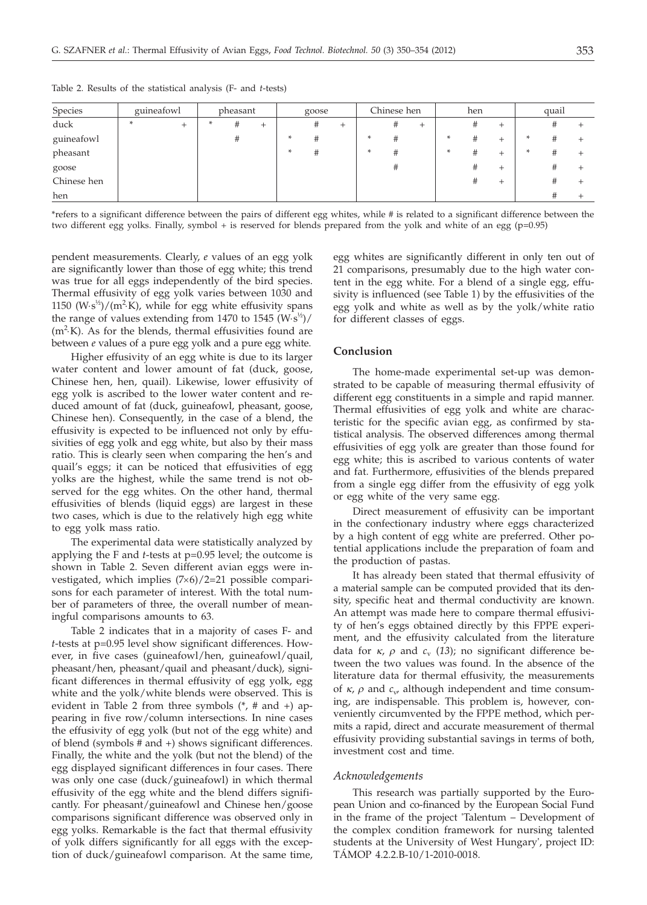| Species     | guineafowl |      | pheasant |   | goose |  | Chinese hen |  | hen |   |  | quail |   |      |  |   |  |
|-------------|------------|------|----------|---|-------|--|-------------|--|-----|---|--|-------|---|------|--|---|--|
| duck        | ÷          | $^+$ |          | # | ∸     |  | #           |  |     | ₩ |  |       | # | $^+$ |  | ₩ |  |
| guineafowl  |            |      |          | # |       |  | #           |  |     |   |  |       | # | $^+$ |  |   |  |
| pheasant    |            |      |          |   |       |  | #           |  |     |   |  |       | # | +    |  |   |  |
| goose       |            |      |          |   |       |  |             |  |     |   |  |       | # | +    |  | # |  |
| Chinese hen |            |      |          |   |       |  |             |  |     |   |  |       | # |      |  |   |  |
| hen         |            |      |          |   |       |  |             |  |     |   |  |       |   |      |  |   |  |

Table 2. Results of the statistical analysis (F- and *t*-tests)

\*refers to a significant difference between the pairs of different egg whites, while # is related to a significant difference between the two different egg yolks. Finally, symbol + is reserved for blends prepared from the yolk and white of an egg (p=0.95)

pendent measurements. Clearly, *e* values of an egg yolk are significantly lower than those of egg white; this trend was true for all eggs independently of the bird species. Thermal effusivity of egg yolk varies between 1030 and 1150 (W·s<sup>1/2</sup>)/(m<sup>2</sup>·K), while for egg white effusivity spans<br>the range of values extending from 1470 to 1545 (W<sub>1</sub>, s<sup>1/2</sup>)/ the range of values extending from 1470 to 1545  $(W \cdot s^{\frac{1}{2}})$ /  $(m^2 K)$ . As for the blends, thermal effusivities found are<br>hetween exalues of a pure egg volk and a pure egg white between *e* values of a pure egg yolk and a pure egg white.

Higher effusivity of an egg white is due to its larger water content and lower amount of fat (duck, goose, Chinese hen, hen, quail). Likewise, lower effusivity of egg yolk is ascribed to the lower water content and reduced amount of fat (duck, guineafowl, pheasant, goose, Chinese hen). Consequently, in the case of a blend, the effusivity is expected to be influenced not only by effusivities of egg yolk and egg white, but also by their mass ratio. This is clearly seen when comparing the hen's and quail's eggs; it can be noticed that effusivities of egg yolks are the highest, while the same trend is not observed for the egg whites. On the other hand, thermal effusivities of blends (liquid eggs) are largest in these two cases, which is due to the relatively high egg white to egg yolk mass ratio.

The experimental data were statistically analyzed by applying the F and *t*-tests at p=0.95 level; the outcome is shown in Table 2. Seven different avian eggs were investigated, which implies  $(7\times6)/2=21$  possible comparisons for each parameter of interest. With the total number of parameters of three, the overall number of meaningful comparisons amounts to 63.

Table 2 indicates that in a majority of cases F- and *t*-tests at p=0.95 level show significant differences. However, in five cases (guineafowl/hen, guineafowl/quail, pheasant/hen, pheasant/quail and pheasant/duck), significant differences in thermal effusivity of egg yolk, egg white and the yolk/white blends were observed. This is evident in Table 2 from three symbols (\*, # and +) appearing in five row/column intersections. In nine cases the effusivity of egg yolk (but not of the egg white) and of blend (symbols # and +) shows significant differences. Finally, the white and the yolk (but not the blend) of the egg displayed significant differences in four cases. There was only one case (duck/guineafowl) in which thermal effusivity of the egg white and the blend differs significantly. For pheasant/guineafowl and Chinese hen/goose comparisons significant difference was observed only in egg yolks. Remarkable is the fact that thermal effusivity of yolk differs significantly for all eggs with the exception of duck/guineafowl comparison. At the same time,

egg whites are significantly different in only ten out of 21 comparisons, presumably due to the high water content in the egg white. For a blend of a single egg, effusivity is influenced (see Table 1) by the effusivities of the egg yolk and white as well as by the yolk/white ratio for different classes of eggs.

# **Conclusion**

The home-made experimental set-up was demonstrated to be capable of measuring thermal effusivity of different egg constituents in a simple and rapid manner. Thermal effusivities of egg yolk and white are characteristic for the specific avian egg, as confirmed by statistical analysis. The observed differences among thermal effusivities of egg yolk are greater than those found for egg white; this is ascribed to various contents of water and fat. Furthermore, effusivities of the blends prepared from a single egg differ from the effusivity of egg yolk or egg white of the very same egg.

Direct measurement of effusivity can be important in the confectionary industry where eggs characterized by a high content of egg white are preferred. Other potential applications include the preparation of foam and the production of pastas.

It has already been stated that thermal effusivity of a material sample can be computed provided that its density, specific heat and thermal conductivity are known. An attempt was made here to compare thermal effusivity of hen's eggs obtained directly by this FPPE experiment, and the effusivity calculated from the literature data for  $\kappa$ ,  $\rho$  and  $c_v$  (13); no significant difference between the two values was found. In the absence of the literature data for thermal effusivity, the measurements of  $\kappa$ ,  $\rho$  and  $c_v$ , although independent and time consuming, are indispensable. This problem is, however, conveniently circumvented by the FPPE method, which permits a rapid, direct and accurate measurement of thermal effusivity providing substantial savings in terms of both, investment cost and time.

## *Acknowledgements*

This research was partially supported by the European Union and co-financed by the European Social Fund in the frame of the project 'Talentum – Development of the complex condition framework for nursing talented students at the University of West Hungary', project ID: TÁMOP 4.2.2.B-10/1-2010-0018.